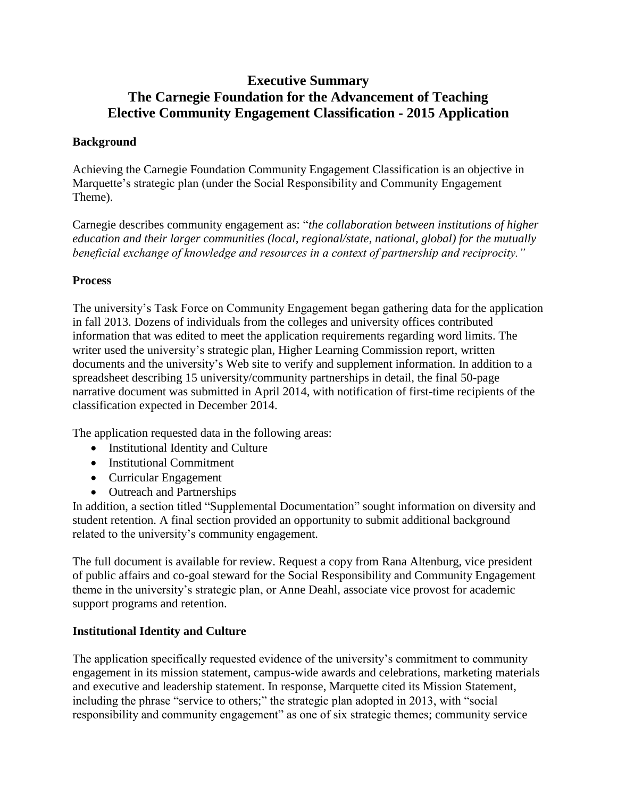# **Executive Summary The Carnegie Foundation for the Advancement of Teaching Elective Community Engagement Classification - 2015 Application**

#### **Background**

Achieving the Carnegie Foundation Community Engagement Classification is an objective in Marquette's strategic plan (under the Social Responsibility and Community Engagement Theme).

Carnegie describes community engagement as: "*the collaboration between institutions of higher education and their larger communities (local, regional/state, national, global) for the mutually beneficial exchange of knowledge and resources in a context of partnership and reciprocity."*

## **Process**

The university's Task Force on Community Engagement began gathering data for the application in fall 2013. Dozens of individuals from the colleges and university offices contributed information that was edited to meet the application requirements regarding word limits. The writer used the university's strategic plan, Higher Learning Commission report, written documents and the university's Web site to verify and supplement information. In addition to a spreadsheet describing 15 university/community partnerships in detail, the final 50-page narrative document was submitted in April 2014, with notification of first-time recipients of the classification expected in December 2014.

The application requested data in the following areas:

- Institutional Identity and Culture
- Institutional Commitment
- Curricular Engagement
- Outreach and Partnerships

In addition, a section titled "Supplemental Documentation" sought information on diversity and student retention. A final section provided an opportunity to submit additional background related to the university's community engagement.

The full document is available for review. Request a copy from Rana Altenburg, vice president of public affairs and co-goal steward for the Social Responsibility and Community Engagement theme in the university's strategic plan, or Anne Deahl, associate vice provost for academic support programs and retention.

# **Institutional Identity and Culture**

The application specifically requested evidence of the university's commitment to community engagement in its mission statement, campus-wide awards and celebrations, marketing materials and executive and leadership statement. In response, Marquette cited its Mission Statement, including the phrase "service to others;" the strategic plan adopted in 2013, with "social responsibility and community engagement" as one of six strategic themes; community service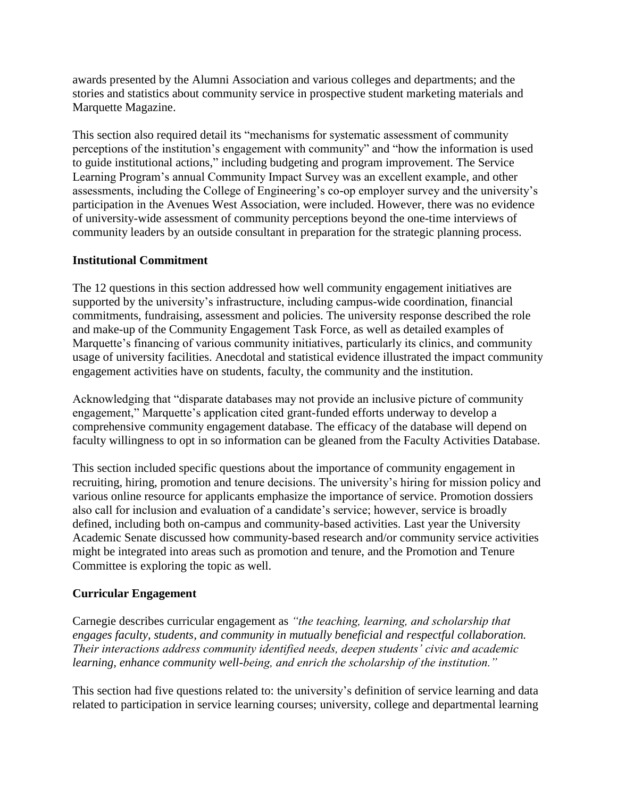awards presented by the Alumni Association and various colleges and departments; and the stories and statistics about community service in prospective student marketing materials and Marquette Magazine.

This section also required detail its "mechanisms for systematic assessment of community perceptions of the institution's engagement with community" and "how the information is used to guide institutional actions," including budgeting and program improvement. The Service Learning Program's annual Community Impact Survey was an excellent example, and other assessments, including the College of Engineering's co-op employer survey and the university's participation in the Avenues West Association, were included. However, there was no evidence of university-wide assessment of community perceptions beyond the one-time interviews of community leaders by an outside consultant in preparation for the strategic planning process.

#### **Institutional Commitment**

The 12 questions in this section addressed how well community engagement initiatives are supported by the university's infrastructure, including campus-wide coordination, financial commitments, fundraising, assessment and policies. The university response described the role and make-up of the Community Engagement Task Force, as well as detailed examples of Marquette's financing of various community initiatives, particularly its clinics, and community usage of university facilities. Anecdotal and statistical evidence illustrated the impact community engagement activities have on students, faculty, the community and the institution.

Acknowledging that "disparate databases may not provide an inclusive picture of community engagement," Marquette's application cited grant-funded efforts underway to develop a comprehensive community engagement database. The efficacy of the database will depend on faculty willingness to opt in so information can be gleaned from the Faculty Activities Database.

This section included specific questions about the importance of community engagement in recruiting, hiring, promotion and tenure decisions. The university's hiring for mission policy and various online resource for applicants emphasize the importance of service. Promotion dossiers also call for inclusion and evaluation of a candidate's service; however, service is broadly defined, including both on-campus and community-based activities. Last year the University Academic Senate discussed how community-based research and/or community service activities might be integrated into areas such as promotion and tenure, and the Promotion and Tenure Committee is exploring the topic as well.

#### **Curricular Engagement**

Carnegie describes curricular engagement as *"the teaching, learning, and scholarship that engages faculty, students, and community in mutually beneficial and respectful collaboration. Their interactions address community identified needs, deepen students' civic and academic learning, enhance community well-being, and enrich the scholarship of the institution."*

This section had five questions related to: the university's definition of service learning and data related to participation in service learning courses; university, college and departmental learning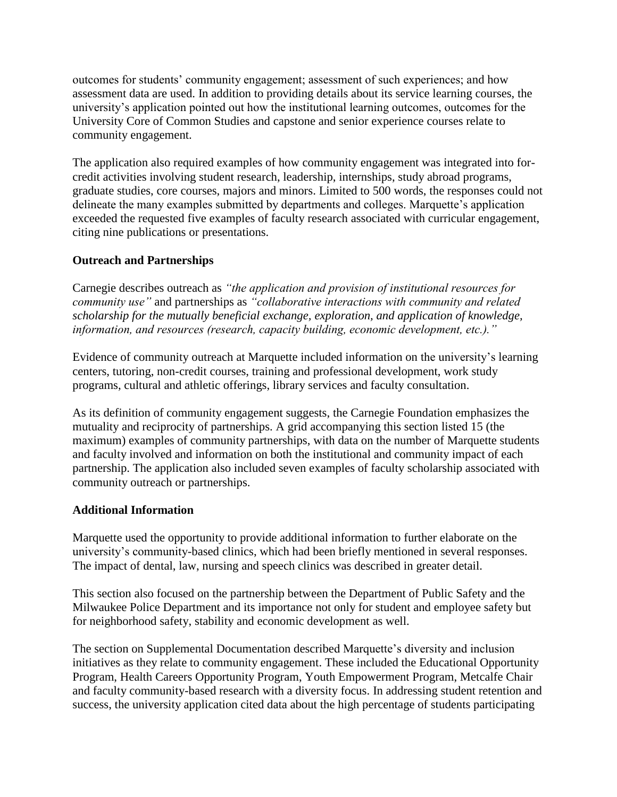outcomes for students' community engagement; assessment of such experiences; and how assessment data are used. In addition to providing details about its service learning courses, the university's application pointed out how the institutional learning outcomes, outcomes for the University Core of Common Studies and capstone and senior experience courses relate to community engagement.

The application also required examples of how community engagement was integrated into forcredit activities involving student research, leadership, internships, study abroad programs, graduate studies, core courses, majors and minors. Limited to 500 words, the responses could not delineate the many examples submitted by departments and colleges. Marquette's application exceeded the requested five examples of faculty research associated with curricular engagement, citing nine publications or presentations.

## **Outreach and Partnerships**

Carnegie describes outreach as *"the application and provision of institutional resources for community use"* and partnerships as *"collaborative interactions with community and related scholarship for the mutually beneficial exchange, exploration, and application of knowledge, information, and resources (research, capacity building, economic development, etc.)."*

Evidence of community outreach at Marquette included information on the university's learning centers, tutoring, non-credit courses, training and professional development, work study programs, cultural and athletic offerings, library services and faculty consultation.

As its definition of community engagement suggests, the Carnegie Foundation emphasizes the mutuality and reciprocity of partnerships. A grid accompanying this section listed 15 (the maximum) examples of community partnerships, with data on the number of Marquette students and faculty involved and information on both the institutional and community impact of each partnership. The application also included seven examples of faculty scholarship associated with community outreach or partnerships.

#### **Additional Information**

Marquette used the opportunity to provide additional information to further elaborate on the university's community-based clinics, which had been briefly mentioned in several responses. The impact of dental, law, nursing and speech clinics was described in greater detail.

This section also focused on the partnership between the Department of Public Safety and the Milwaukee Police Department and its importance not only for student and employee safety but for neighborhood safety, stability and economic development as well.

The section on Supplemental Documentation described Marquette's diversity and inclusion initiatives as they relate to community engagement. These included the Educational Opportunity Program, Health Careers Opportunity Program, Youth Empowerment Program, Metcalfe Chair and faculty community-based research with a diversity focus. In addressing student retention and success, the university application cited data about the high percentage of students participating